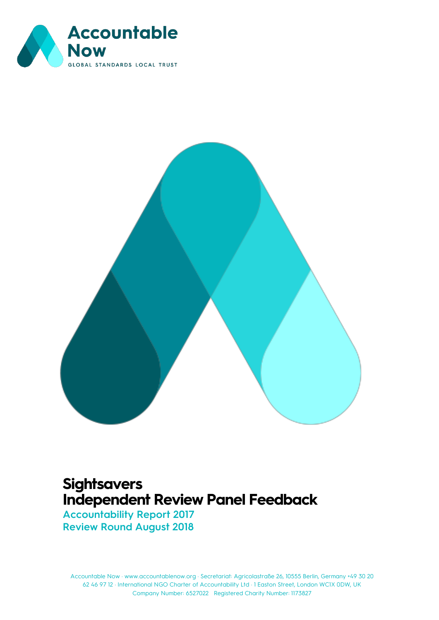



## **Sightsavers Independent Review Panel Feedback**

**Accountability Report 2017 Review Round August 2018**

Accountable Now · www.accountablenow.org · Secretariat: Agricolastraße 26, 10555 Berlin, Germany +49 30 20 [Document title] 62 46 97 12 · International NGO Charter of Accountability Ltd · 1 Easton Street, London WC1X 0DW, UK Company Number: 6527022 Registered Charity Number: 1173827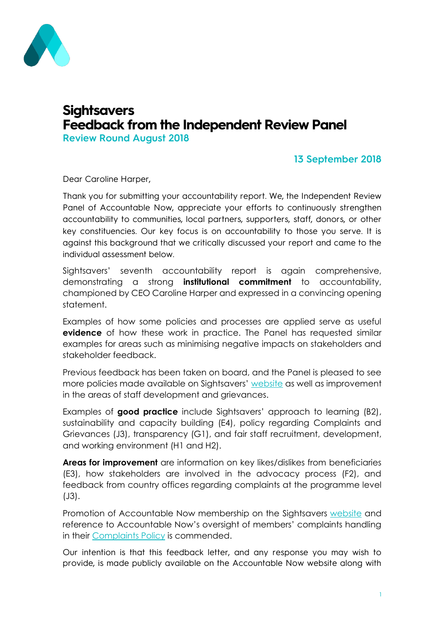

# **Sightsavers Feedback from the Independent Review Panel**

**Review Round August 2018**

#### **13 September 2018**

Dear Caroline Harper,

Thank you for submitting your accountability report. We, the Independent Review Panel of Accountable Now, appreciate your efforts to continuously strengthen accountability to communities, local partners, supporters, staff, donors, or other key constituencies. Our key focus is on accountability to those you serve. It is against this background that we critically discussed your report and came to the individual assessment below.

Sightsavers' seventh accountability report is again comprehensive, demonstrating a strong **institutional commitment** to accountability, championed by CEO Caroline Harper and expressed in a convincing opening statement.

Examples of how some policies and processes are applied serve as useful **evidence** of how these work in practice. The Panel has requested similar examples for areas such as minimising negative impacts on stakeholders and stakeholder feedback.

Previous feedback has been taken on board, and the Panel is pleased to see more policies made available on Sightsavers' [website](https://www.sightsavers.org/how-were-run/accountability-and-transparency/#our-policies) as well as improvement in the areas of staff development and grievances.

Examples of **good practice** include Sightsavers' approach to learning (B2), sustainability and capacity building (E4), policy regarding Complaints and Grievances (J3), transparency (G1), and fair staff recruitment, development, and working environment (H1 and H2).

**Areas for improvement** are information on key likes/dislikes from beneficiaries (E3), how stakeholders are involved in the advocacy process (F2), and feedback from country offices regarding complaints at the programme level (J3).

Promotion of Accountable Now membership on the Sightsavers [website](https://www.sightsavers.org/how-were-run/accountability-and-transparency/) and reference to Accountable Now's oversight of members' complaints handling in their [Complaints Policy](https://www.sightsavers.org/wp-content/uploads/2018/07/Sightsavers-Global-Complaints-Policy-Feb-2018.pdf) is commended.

Our intention is that this feedback letter, and any response you may wish to provide, is made publicly available on the Accountable Now website along with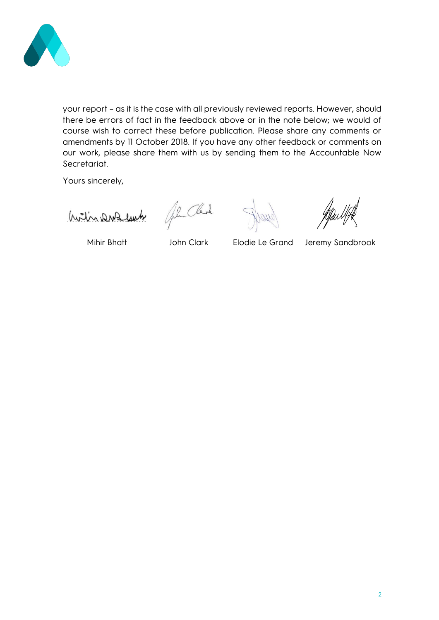

your report – as it is the case with all previously reviewed reports. However, should there be errors of fact in the feedback above or in the note below; we would of course wish to correct these before publication. Please share any comments or amendments by 11 October 2018. If you have any other feedback or comments on our work, please share them with us by sending them to the Accountable Now Secretariat.

Yours sincerely,

With DNA lub

John Clark

Mihir Bhatt John Clark Elodie Le Grand Jeremy Sandbrook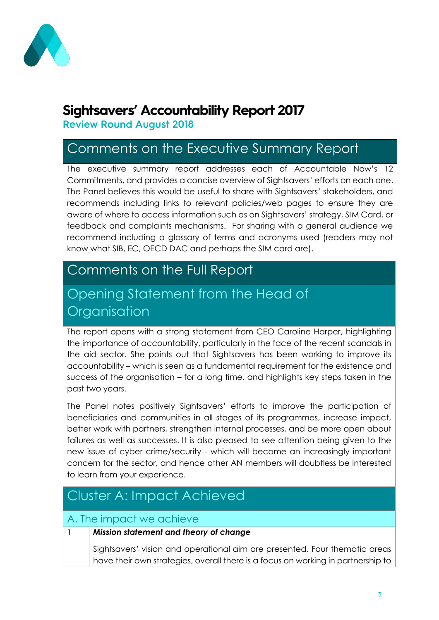

## **Sightsavers' Accountability Report 2017**

**Review Round August 2018** 

## Comments on the Executive Summary Report

The executive summary report addresses each of Accountable Now's 12 Commitments, and provides a concise overview of Sightsavers' efforts on each one. The Panel believes this would be useful to share with Sightsavers' stakeholders, and recommends including links to relevant policies/web pages to ensure they are aware of where to access information such as on Sightsavers' strategy, SIM Card, or feedback and complaints mechanisms. For sharing with a general audience we recommend including a glossary of terms and acronyms used (readers may not know what SIB, EC, OECD DAC and perhaps the SIM card are).

### Comments on the Full Report

## Opening Statement from the Head of **Organisation**

The report opens with a strong statement from CEO Caroline Harper, highlighting the importance of accountability, particularly in the face of the recent scandals in the aid sector. She points out that Sightsavers has been working to improve its accountability – which is seen as a fundamental requirement for the existence and success of the organisation – for a long time, and highlights key steps taken in the past two years.

The Panel notes positively Sightsavers' efforts to improve the participation of beneficiaries and communities in all stages of its programmes, increase impact, better work with partners, strengthen internal processes, and be more open about failures as well as successes. It is also pleased to see attention being given to the new issue of cyber crime/security - which will become an increasingly important concern for the sector, and hence other AN members will doubtless be interested to learn from your experience.

## Cluster A: Impact Achieved

### A. The impact we achieve

### 1 *Mission statement and theory of change*

Sightsavers' vision and operational aim are presented. Four thematic areas have their own strategies, overall there is a focus on working in partnership to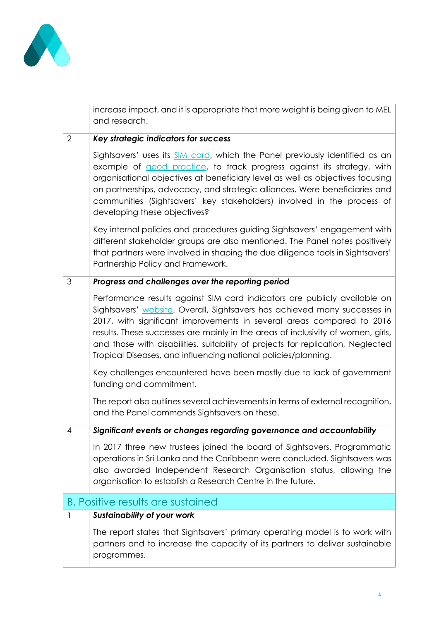

L

|                | increase impact, and it is appropriate that more weight is being given to MEL<br>and research.                                                                                                                                                                                                                                                                                                                                                                           |
|----------------|--------------------------------------------------------------------------------------------------------------------------------------------------------------------------------------------------------------------------------------------------------------------------------------------------------------------------------------------------------------------------------------------------------------------------------------------------------------------------|
| $\overline{2}$ | Key strategic indicators for success                                                                                                                                                                                                                                                                                                                                                                                                                                     |
|                | Sightsavers' uses its SIM card, which the Panel previously identified as an<br>example of good practice, to track progress against its strategy, with<br>organisational objectives at beneficiary level as well as objectives focusing<br>on partnerships, advocacy, and strategic alliances. Were beneficiaries and<br>communities (Sightsavers' key stakeholders) involved in the process of<br>developing these objectives?                                           |
|                | Key internal policies and procedures guiding Sightsavers' engagement with<br>different stakeholder groups are also mentioned. The Panel notes positively<br>that partners were involved in shaping the due diligence tools in Sightsavers'<br>Partnership Policy and Framework.                                                                                                                                                                                          |
| 3              | Progress and challenges over the reporting period                                                                                                                                                                                                                                                                                                                                                                                                                        |
|                | Performance results against SIM card indicators are publicly available on<br>Sightsavers' website. Overall, Sightsavers has achieved many successes in<br>2017, with significant improvements in several areas compared to 2016<br>results. These successes are mainly in the areas of inclusivity of women, girls,<br>and those with disabilities, suitability of projects for replication, Neglected<br>Tropical Diseases, and influencing national policies/planning. |
|                | Key challenges encountered have been mostly due to lack of government<br>funding and commitment.                                                                                                                                                                                                                                                                                                                                                                         |
|                | The report also outlines several achievements in terms of external recognition,<br>and the Panel commends Sightsavers on these.                                                                                                                                                                                                                                                                                                                                          |
| 4              | Significant events or changes regarding governance and accountability                                                                                                                                                                                                                                                                                                                                                                                                    |
|                | In 2017 three new trustees joined the board of Sightsavers. Programmatic<br>operations in Sri Lanka and the Caribbean were concluded. Sightsavers was<br>also awarded Independent Research Organisation status, allowing the<br>organisation to establish a Research Centre in the future.                                                                                                                                                                               |
|                | <b>B. Positive results are sustained</b>                                                                                                                                                                                                                                                                                                                                                                                                                                 |
| 1              | <b>Sustainability of your work</b>                                                                                                                                                                                                                                                                                                                                                                                                                                       |
|                | The report states that Sightsavers' primary operating model is to work with<br>partners and to increase the capacity of its partners to deliver sustainable<br>programmes.                                                                                                                                                                                                                                                                                               |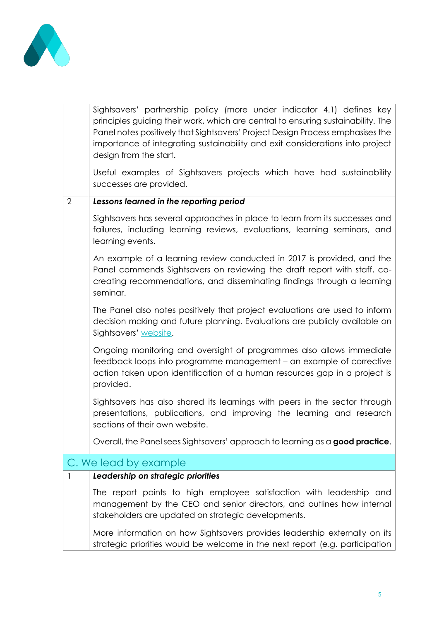

|                | Sightsavers' partnership policy (more under indicator 4.1) defines key<br>principles guiding their work, which are central to ensuring sustainability. The<br>Panel notes positively that Sightsavers' Project Design Process emphasises the<br>importance of integrating sustainability and exit considerations into project<br>design from the start. |
|----------------|---------------------------------------------------------------------------------------------------------------------------------------------------------------------------------------------------------------------------------------------------------------------------------------------------------------------------------------------------------|
|                | Useful examples of Sightsavers projects which have had sustainability<br>successes are provided.                                                                                                                                                                                                                                                        |
| $\overline{2}$ | Lessons learned in the reporting period                                                                                                                                                                                                                                                                                                                 |
|                | Sightsavers has several approaches in place to learn from its successes and<br>failures, including learning reviews, evaluations, learning seminars, and<br>learning events.                                                                                                                                                                            |
|                | An example of a learning review conducted in 2017 is provided, and the<br>Panel commends Sightsavers on reviewing the draft report with staff, co-<br>creating recommendations, and disseminating findings through a learning<br>seminar.                                                                                                               |
|                | The Panel also notes positively that project evaluations are used to inform<br>decision making and future planning. Evaluations are publicly available on<br>Sightsavers' website.                                                                                                                                                                      |
|                | Ongoing monitoring and oversight of programmes also allows immediate<br>feedback loops into programme management - an example of corrective<br>action taken upon identification of a human resources gap in a project is<br>provided.                                                                                                                   |
|                | Sightsavers has also shared its learnings with peers in the sector through<br>presentations, publications, and improving the learning and research<br>sections of their own website.                                                                                                                                                                    |
|                | Overall, the Panel sees Sightsavers' approach to learning as a good practice.                                                                                                                                                                                                                                                                           |
|                | C. We lead by example                                                                                                                                                                                                                                                                                                                                   |
| 1              | Leadership on strategic priorities                                                                                                                                                                                                                                                                                                                      |
|                | The report points to high employee satisfaction with leadership and<br>management by the CEO and senior directors, and outlines how internal<br>stakeholders are updated on strategic developments.                                                                                                                                                     |
|                | More information on how Sightsavers provides leadership externally on its<br>strategic priorities would be welcome in the next report (e.g. participation                                                                                                                                                                                               |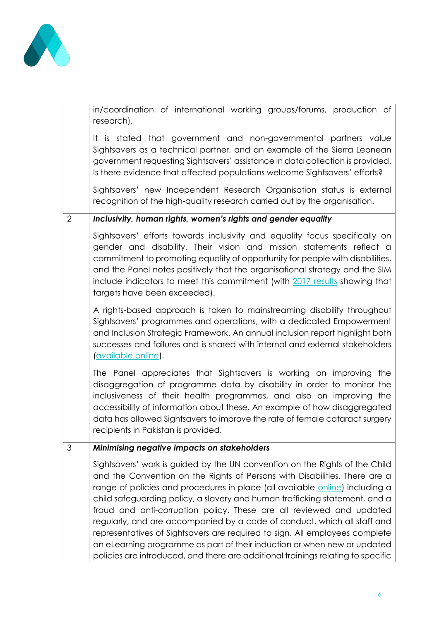

|                | in/coordination of international working groups/forums, production of<br>research).                                                                                                                                                                                                                                                                                                                                                                                                                                                                                                                                                                                                                                         |
|----------------|-----------------------------------------------------------------------------------------------------------------------------------------------------------------------------------------------------------------------------------------------------------------------------------------------------------------------------------------------------------------------------------------------------------------------------------------------------------------------------------------------------------------------------------------------------------------------------------------------------------------------------------------------------------------------------------------------------------------------------|
|                | It is stated that government and non-governmental partners value<br>Sightsavers as a technical partner, and an example of the Sierra Leonean<br>government requesting Sightsavers' assistance in data collection is provided.<br>Is there evidence that affected populations welcome Sightsavers' efforts?                                                                                                                                                                                                                                                                                                                                                                                                                  |
|                | Sightsavers' new Independent Research Organisation status is external<br>recognition of the high-quality research carried out by the organisation.                                                                                                                                                                                                                                                                                                                                                                                                                                                                                                                                                                          |
| $\overline{2}$ | Inclusivity, human rights, women's rights and gender equality                                                                                                                                                                                                                                                                                                                                                                                                                                                                                                                                                                                                                                                               |
|                | Sightsavers' efforts towards inclusivity and equality focus specifically on<br>gender and disability. Their vision and mission statements reflect a<br>commitment to promoting equality of opportunity for people with disabilities,<br>and the Panel notes positively that the organisational strategy and the SIM<br>include indicators to meet this commitment (with 2017 results showing that<br>targets have been exceeded).                                                                                                                                                                                                                                                                                           |
|                | A rights-based approach is taken to mainstreaming disability throughout<br>Sightsavers' programmes and operations, with a dedicated Empowerment<br>and Inclusion Strategic Framework. An annual inclusion report highlight both<br>successes and failures and is shared with internal and external stakeholders<br><i><u>available online</u></i> .                                                                                                                                                                                                                                                                                                                                                                         |
|                | The Panel appreciates that Sightsavers is working on improving the<br>disaggregation of programme data by disability in order to monitor the<br>inclusiveness of their health programmes, and also on improving the<br>accessibility of information about these. An example of how disaggregated<br>data has allowed Sightsavers to improve the rate of female cataract surgery<br>recipients in Pakistan is provided.                                                                                                                                                                                                                                                                                                      |
| 3              | Minimising negative impacts on stakeholders                                                                                                                                                                                                                                                                                                                                                                                                                                                                                                                                                                                                                                                                                 |
|                | Sightsavers' work is guided by the UN convention on the Rights of the Child<br>and the Convention on the Rights of Persons with Disabilities. There are a<br>range of policies and procedures in place (all available online) including a<br>child safeguarding policy, a slavery and human trafficking statement, and a<br>fraud and anti-corruption policy. These are all reviewed and updated<br>regularly, and are accompanied by a code of conduct, which all staff and<br>representatives of Sightsavers are required to sign. All employees complete<br>an eLearning programme as part of their induction or when new or updated<br>policies are introduced, and there are additional trainings relating to specific |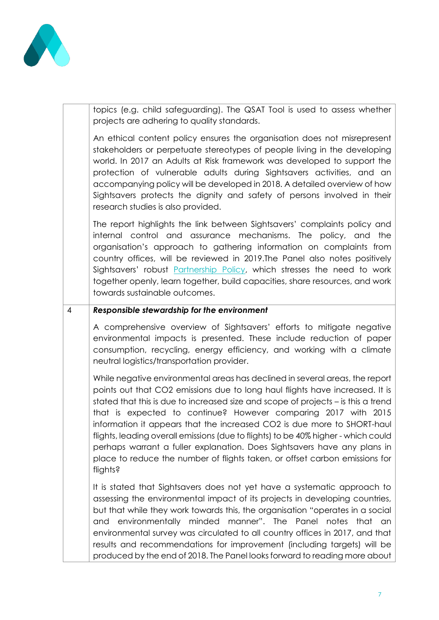

topics (e.g. child safeguarding). The QSAT Tool is used to assess whether projects are adhering to quality standards.

An ethical content policy ensures the organisation does not misrepresent stakeholders or perpetuate stereotypes of people living in the developing world. In 2017 an Adults at Risk framework was developed to support the protection of vulnerable adults during Sightsavers activities, and an accompanying policy will be developed in 2018. A detailed overview of how Sightsavers protects the dignity and safety of persons involved in their research studies is also provided.

The report highlights the link between Sightsavers' complaints policy and internal control and assurance mechanisms. The policy, and the organisation's approach to gathering information on complaints from country offices, will be reviewed in 2019.The Panel also notes positively Sightsavers' robust [Partnership Policy,](https://www.sightsavers.org/wp-content/uploads/2018/07/Sightsavers-Programme-Partnership-Policy-Mar-2016.pdf) which stresses the need to work together openly, learn together, build capacities, share resources, and work towards sustainable outcomes.

#### 4 *Responsible stewardship for the environment*

A comprehensive overview of Sightsavers' efforts to mitigate negative environmental impacts is presented. These include reduction of paper consumption, recycling, energy efficiency, and working with a climate neutral logistics/transportation provider.

While negative environmental areas has declined in several areas, the report points out that CO2 emissions due to long haul flights have increased. It is stated that this is due to increased size and scope of projects – is this a trend that is expected to continue? However comparing 2017 with 2015 information it appears that the increased CO2 is due more to SHORT-haul flights, leading overall emissions (due to flights) to be 40% higher - which could perhaps warrant a fuller explanation. Does Sightsavers have any plans in place to reduce the number of flights taken, or offset carbon emissions for flights?

It is stated that Sightsavers does not yet have a systematic approach to assessing the environmental impact of its projects in developing countries, but that while they work towards this, the organisation "operates in a social and environmentally minded manner". The Panel notes that an environmental survey was circulated to all country offices in 2017, and that results and recommendations for improvement (including targets) will be produced by the end of 2018. The Panel looks forward to reading more about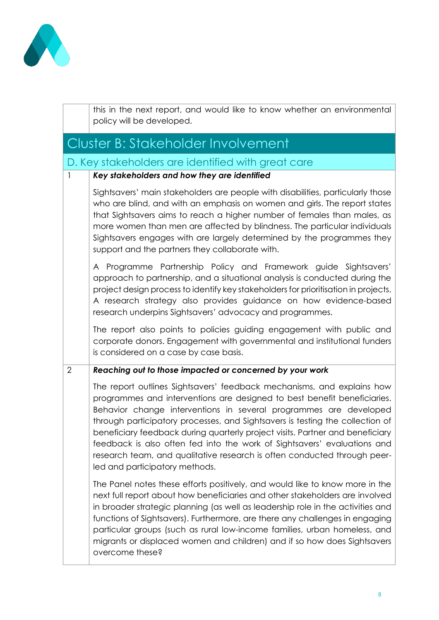

|              |                | this in the next report, and would like to know whether an environmental<br>policy will be developed.                                                                                                                                                                                                                                                                                                                                                                                                                                                                               |
|--------------|----------------|-------------------------------------------------------------------------------------------------------------------------------------------------------------------------------------------------------------------------------------------------------------------------------------------------------------------------------------------------------------------------------------------------------------------------------------------------------------------------------------------------------------------------------------------------------------------------------------|
|              |                | Cluster B: Stakeholder Involvement                                                                                                                                                                                                                                                                                                                                                                                                                                                                                                                                                  |
|              |                | D. Key stakeholders are identified with great care                                                                                                                                                                                                                                                                                                                                                                                                                                                                                                                                  |
| $\mathbf{I}$ |                | Key stakeholders and how they are identified                                                                                                                                                                                                                                                                                                                                                                                                                                                                                                                                        |
|              |                | Sightsavers' main stakeholders are people with disabilities, particularly those<br>who are blind, and with an emphasis on women and girls. The report states<br>that Sightsavers aims to reach a higher number of females than males, as<br>more women than men are affected by blindness. The particular individuals<br>Sightsavers engages with are largely determined by the programmes they<br>support and the partners they collaborate with.                                                                                                                                  |
|              |                | A Programme Partnership Policy and Framework guide Sightsavers'<br>approach to partnership, and a situational analysis is conducted during the<br>project design process to identify key stakeholders for prioritisation in projects.<br>A research strategy also provides guidance on how evidence-based<br>research underpins Sightsavers' advocacy and programmes.                                                                                                                                                                                                               |
|              |                | The report also points to policies guiding engagement with public and<br>corporate donors. Engagement with governmental and institutional funders<br>is considered on a case by case basis.                                                                                                                                                                                                                                                                                                                                                                                         |
|              | $\overline{2}$ | Reaching out to those impacted or concerned by your work                                                                                                                                                                                                                                                                                                                                                                                                                                                                                                                            |
|              |                | The report outlines Sightsavers' feedback mechanisms, and explains how<br>programmes and interventions are designed to best benefit beneficiaries.<br>Behavior change interventions in several programmes are developed<br>through participatory processes, and Sightsavers is testing the collection of<br>beneficiary feedback during quarterly project visits. Partner and beneficiary<br>feedback is also often fed into the work of Sightsavers' evaluations and<br>research team, and qualitative research is often conducted through peer-<br>led and participatory methods. |
|              |                | The Panel notes these efforts positively, and would like to know more in the<br>next full report about how beneficiaries and other stakeholders are involved<br>in broader strategic planning (as well as leadership role in the activities and<br>functions of Sightsavers). Furthermore, are there any challenges in engaging<br>particular groups (such as rural low-income families, urban homeless, and<br>migrants or displaced women and children) and if so how does Sightsavers<br>overcome these?                                                                         |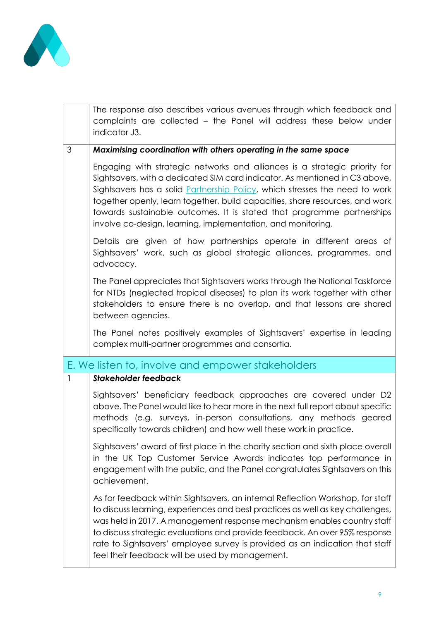

|              | The response also describes various avenues through which feedback and<br>complaints are collected – the Panel will address these below under<br>indicator J3.                                                                                                                                                                                                                                                                                                     |
|--------------|--------------------------------------------------------------------------------------------------------------------------------------------------------------------------------------------------------------------------------------------------------------------------------------------------------------------------------------------------------------------------------------------------------------------------------------------------------------------|
| 3            | Maximising coordination with others operating in the same space                                                                                                                                                                                                                                                                                                                                                                                                    |
|              | Engaging with strategic networks and alliances is a strategic priority for<br>Sightsavers, with a dedicated SIM card indicator. As mentioned in C3 above,<br>Sightsavers has a solid Partnership Policy, which stresses the need to work<br>together openly, learn together, build capacities, share resources, and work<br>towards sustainable outcomes. It is stated that programme partnerships<br>involve co-design, learning, implementation, and monitoring. |
|              | Details are given of how partnerships operate in different areas of<br>Sightsavers' work, such as global strategic alliances, programmes, and<br>advocacy.                                                                                                                                                                                                                                                                                                         |
|              | The Panel appreciates that Sightsavers works through the National Taskforce<br>for NTDs (neglected tropical diseases) to plan its work together with other<br>stakeholders to ensure there is no overlap, and that lessons are shared<br>between agencies.                                                                                                                                                                                                         |
|              | The Panel notes positively examples of Sightsavers' expertise in leading<br>complex multi-partner programmes and consortia.                                                                                                                                                                                                                                                                                                                                        |
|              | E. We listen to, involve and empower stakeholders                                                                                                                                                                                                                                                                                                                                                                                                                  |
| $\mathbf{1}$ | <b>Stakeholder feedback</b>                                                                                                                                                                                                                                                                                                                                                                                                                                        |
|              | Sightsavers' beneficiary feedback approaches are covered under D2<br>above. The Panel would like to hear more in the next full report about specific<br>methods (e.g. surveys, in-person consultations, any methods geared<br>specifically towards children) and how well these work in practice.                                                                                                                                                                  |
|              | Sightsavers' award of first place in the charity section and sixth place overall<br>in the UK Top Customer Service Awards indicates top performance in<br>engagement with the public, and the Panel congratulates Sightsavers on this<br>achievement.                                                                                                                                                                                                              |
|              | As for feedback within Sightsavers, an internal Reflection Workshop, for staff<br>to discuss learning, experiences and best practices as well as key challenges,<br>was held in 2017. A management response mechanism enables country staff<br>to discuss strategic evaluations and provide feedback. An over 95% response<br>rate to Sightsavers' employee survey is provided as an indication that staff<br>feel their feedback will be used by management.      |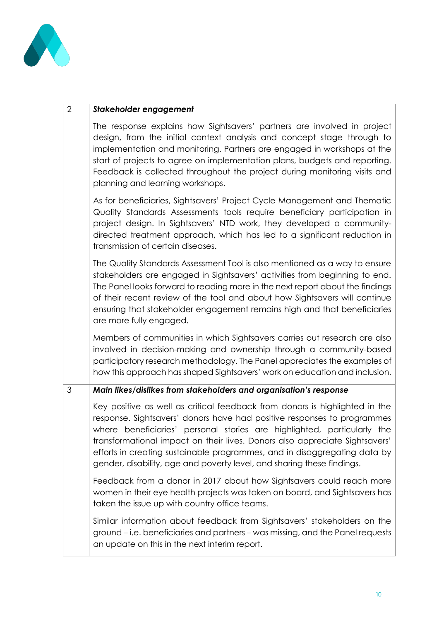

| 2 | Stakeholder engagement |
|---|------------------------|
|   |                        |

The response explains how Sightsavers' partners are involved in project design, from the initial context analysis and concept stage through to implementation and monitoring. Partners are engaged in workshops at the start of projects to agree on implementation plans, budgets and reporting. Feedback is collected throughout the project during monitoring visits and planning and learning workshops.

As for beneficiaries, Sightsavers' Project Cycle Management and Thematic Quality Standards Assessments tools require beneficiary participation in project design. In Sightsavers' NTD work, they developed a communitydirected treatment approach, which has led to a significant reduction in transmission of certain diseases.

The Quality Standards Assessment Tool is also mentioned as a way to ensure stakeholders are engaged in Sightsavers' activities from beginning to end. The Panel looks forward to reading more in the next report about the findings of their recent review of the tool and about how Sightsavers will continue ensuring that stakeholder engagement remains high and that beneficiaries are more fully engaged.

Members of communities in which Sightsavers carries out research are also involved in decision-making and ownership through a community-based participatory research methodology. The Panel appreciates the examples of how this approach has shaped Sightsavers' work on education and inclusion.

#### 3 *Main likes/dislikes from stakeholders and organisation's response*

Key positive as well as critical feedback from donors is highlighted in the response. Sightsavers' donors have had positive responses to programmes where beneficiaries' personal stories are highlighted, particularly the transformational impact on their lives. Donors also appreciate Sightsavers' efforts in creating sustainable programmes, and in disaggregating data by gender, disability, age and poverty level, and sharing these findings.

Feedback from a donor in 2017 about how Sightsavers could reach more women in their eye health projects was taken on board, and Sightsavers has taken the issue up with country office teams.

Similar information about feedback from Sightsavers' stakeholders on the ground – i.e. beneficiaries and partners – was missing, and the Panel requests an update on this in the next interim report.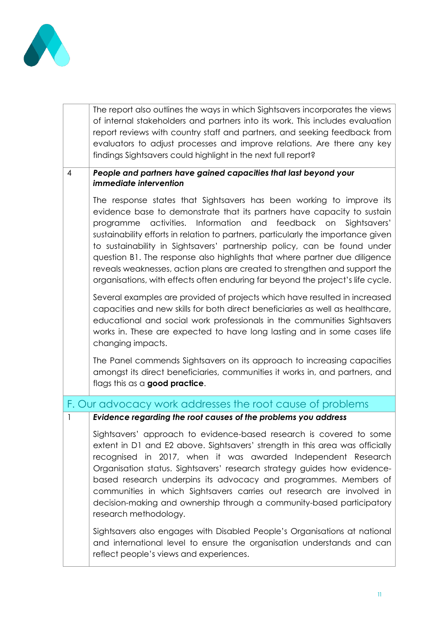

|                | The report also outlines the ways in which Sightsavers incorporates the views<br>of internal stakeholders and partners into its work. This includes evaluation<br>report reviews with country staff and partners, and seeking feedback from<br>evaluators to adjust processes and improve relations. Are there any key<br>findings Sightsavers could highlight in the next full report?                                                                                                                                                                                                                                                    |
|----------------|--------------------------------------------------------------------------------------------------------------------------------------------------------------------------------------------------------------------------------------------------------------------------------------------------------------------------------------------------------------------------------------------------------------------------------------------------------------------------------------------------------------------------------------------------------------------------------------------------------------------------------------------|
| $\overline{4}$ | People and partners have gained capacities that last beyond your<br><i>immediate intervention</i>                                                                                                                                                                                                                                                                                                                                                                                                                                                                                                                                          |
|                | The response states that Sightsavers has been working to improve its<br>evidence base to demonstrate that its partners have capacity to sustain<br>Information and feedback on<br>activities.<br>Sightsavers'<br>programme<br>sustainability efforts in relation to partners, particularly the importance given<br>to sustainability in Sightsavers' partnership policy, can be found under<br>question B1. The response also highlights that where partner due diligence<br>reveals weaknesses, action plans are created to strengthen and support the<br>organisations, with effects often enduring far beyond the project's life cycle. |
|                | Several examples are provided of projects which have resulted in increased<br>capacities and new skills for both direct beneficiaries as well as healthcare,<br>educational and social work professionals in the communities Sightsavers<br>works in. These are expected to have long lasting and in some cases life<br>changing impacts.                                                                                                                                                                                                                                                                                                  |
|                | The Panel commends Sightsavers on its approach to increasing capacities<br>amongst its direct beneficiaries, communities it works in, and partners, and<br>flags this as a <b>good practice</b> .                                                                                                                                                                                                                                                                                                                                                                                                                                          |
|                | F. Our advocacy work addresses the root cause of problems                                                                                                                                                                                                                                                                                                                                                                                                                                                                                                                                                                                  |
| 1              | Evidence regarding the root causes of the problems you address                                                                                                                                                                                                                                                                                                                                                                                                                                                                                                                                                                             |
|                | Sightsavers' approach to evidence-based research is covered to some<br>extent in D1 and E2 above. Sightsavers' strength in this area was officially<br>recognised in 2017, when it was awarded Independent Research<br>Organisation status. Sightsavers' research strategy guides how evidence-<br>based research underpins its advocacy and programmes. Members of<br>communities in which Sightsavers carries out research are involved in<br>decision-making and ownership through a community-based participatory<br>research methodology.                                                                                             |
|                | Sightsavers also engages with Disabled People's Organisations at national<br>and international level to ensure the organisation understands and can<br>reflect people's views and experiences.                                                                                                                                                                                                                                                                                                                                                                                                                                             |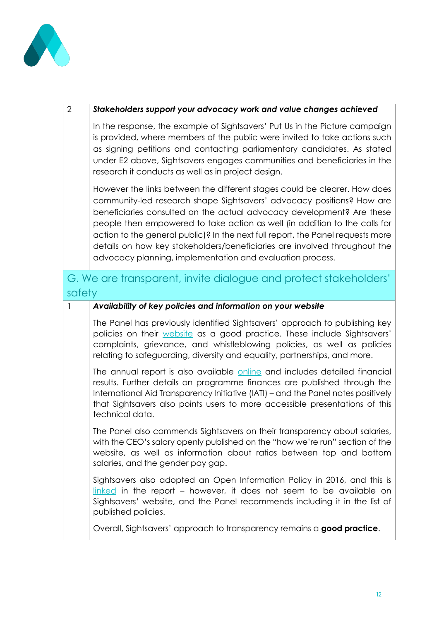

| $\overline{2}$ | Stakeholders support your advocacy work and value changes achieved                                                                                                                                                                                                                                                                                                                                                                                                                                                                     |
|----------------|----------------------------------------------------------------------------------------------------------------------------------------------------------------------------------------------------------------------------------------------------------------------------------------------------------------------------------------------------------------------------------------------------------------------------------------------------------------------------------------------------------------------------------------|
|                | In the response, the example of Sightsavers' Put Us in the Picture campaign<br>is provided, where members of the public were invited to take actions such<br>as signing petitions and contacting parliamentary candidates. As stated<br>under E2 above, Sightsavers engages communities and beneficiaries in the<br>research it conducts as well as in project design.                                                                                                                                                                 |
|                | However the links between the different stages could be clearer. How does<br>community-led research shape Sightsavers' advocacy positions? How are<br>beneficiaries consulted on the actual advocacy development? Are these<br>people then empowered to take action as well (in addition to the calls for<br>action to the general public)? In the next full report, the Panel requests more<br>details on how key stakeholders/beneficiaries are involved throughout the<br>advocacy planning, implementation and evaluation process. |
| safety         | G. We are transparent, invite dialogue and protect stakeholders'                                                                                                                                                                                                                                                                                                                                                                                                                                                                       |
| $\mathbf{I}$   | Availability of key policies and information on your website                                                                                                                                                                                                                                                                                                                                                                                                                                                                           |
|                | The Panel has previously identified Sightsavers' approach to publishing key<br>policies on their website as a good practice. These include Sightsavers'<br>complaints, grievance, and whistleblowing policies, as well as policies<br>relating to safeguarding, diversity and equality, partnerships, and more.                                                                                                                                                                                                                        |
|                | The annual report is also available online and includes detailed financial<br>results. Further details on programme finances are published through the<br>International Aid Transparency Initiative (IATI) – and the Panel notes positively<br>that Sightsavers also points users to more accessible presentations of this<br>technical data.                                                                                                                                                                                          |
|                | The Panel also commends Sightsavers on their transparency about salaries,<br>with the CEO's salary openly published on the "how we're run" section of the<br>website, as well as information about ratios between top and bottom<br>salaries, and the gender pay gap.                                                                                                                                                                                                                                                                  |
|                | Sightsavers also adopted an Open Information Policy in 2016, and this is<br>linked in the report – however, it does not seem to be available on<br>Sightsavers' website, and the Panel recommends including it in the list of<br>published policies.                                                                                                                                                                                                                                                                                   |
|                | Overall, Sightsavers' approach to transparency remains a good practice.                                                                                                                                                                                                                                                                                                                                                                                                                                                                |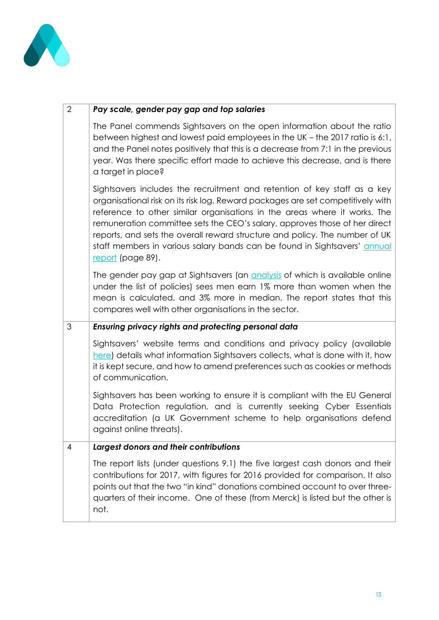

| $\overline{2}$ | Pay scale, gender pay gap and top salaries                                                                                                                                                                                                                                                                                                                                                                                                                                                              |
|----------------|---------------------------------------------------------------------------------------------------------------------------------------------------------------------------------------------------------------------------------------------------------------------------------------------------------------------------------------------------------------------------------------------------------------------------------------------------------------------------------------------------------|
|                | The Panel commends Sightsavers on the open information about the ratio<br>between highest and lowest paid employees in the UK - the 2017 ratio is 6:1,<br>and the Panel notes positively that this is a decrease from 7:1 in the previous<br>year. Was there specific effort made to achieve this decrease, and is there<br>a target in place?                                                                                                                                                          |
|                | Sightsavers includes the recruitment and retention of key staff as a key<br>organisational risk on its risk log. Reward packages are set competitively with<br>reference to other similar organisations in the areas where it works. The<br>remuneration committee sets the CEO's salary, approves those of her direct<br>reports, and sets the overall reward structure and policy. The number of UK<br>staff members in various salary bands can be found in Sightsavers' annual<br>report (page 89). |
|                | The gender pay gap at Sightsavers (an <i>analysis</i> of which is available online<br>under the list of policies) sees men earn 1% more than women when the<br>mean is calculated, and 3% more in median. The report states that this<br>compares well with other organisations in the sector.                                                                                                                                                                                                          |
| 3              | Ensuring privacy rights and protecting personal data                                                                                                                                                                                                                                                                                                                                                                                                                                                    |
|                | Sightsavers' website terms and conditions and privacy policy (available<br>here) details what information Sightsavers collects, what is done with it, how<br>it is kept secure, and how to amend preferences such as cookies or methods<br>of communication.                                                                                                                                                                                                                                            |
|                | Sightsavers has been working to ensure it is compliant with the EU General<br>Data Protection regulation, and is currently seeking Cyber Essentials<br>accreditation (a UK Government scheme to help organisations defend<br>against online threats).                                                                                                                                                                                                                                                   |
| $\overline{4}$ | Largest donors and their contributions                                                                                                                                                                                                                                                                                                                                                                                                                                                                  |
|                | The report lists (under questions 9.1) the five largest cash donors and their<br>contributions for 2017, with figures for 2016 provided for comparison. It also<br>points out that the two "in kind" donations combined account to over three-<br>quarters of their income. One of these (from Merck) is listed but the other is<br>not.                                                                                                                                                                |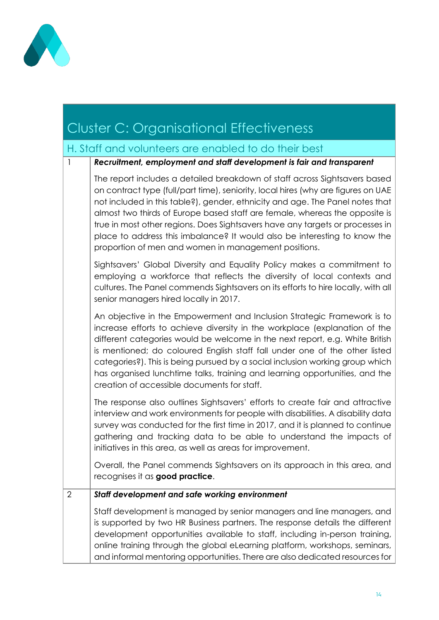

### Cluster C: Organisational Effectiveness H. Staff and volunteers are enabled to do their best 1 *Recruitment, employment and staff development is fair and transparent* The report includes a detailed breakdown of staff across Sightsavers based on contract type (full/part time), seniority, local hires (why are figures on UAE not included in this table?), gender, ethnicity and age. The Panel notes that almost two thirds of Europe based staff are female, whereas the opposite is true in most other regions. Does Sightsavers have any targets or processes in place to address this imbalance? It would also be interesting to know the proportion of men and women in management positions. Sightsavers' Global Diversity and Equality Policy makes a commitment to employing a workforce that reflects the diversity of local contexts and cultures. The Panel commends Sightsavers on its efforts to hire locally, with all senior managers hired locally in 2017. An objective in the Empowerment and Inclusion Strategic Framework is to increase efforts to achieve diversity in the workplace (explanation of the different categories would be welcome in the next report, e.g. White British is mentioned; do coloured English staff fall under one of the other listed categories?). This is being pursued by a social inclusion working group which has organised lunchtime talks, training and learning opportunities, and the creation of accessible documents for staff. The response also outlines Sightsavers' efforts to create fair and attractive interview and work environments for people with disabilities. A disability data survey was conducted for the first time in 2017, and it is planned to continue gathering and tracking data to be able to understand the impacts of initiatives in this area, as well as areas for improvement. Overall, the Panel commends Sightsavers on its approach in this area, and recognises it as **good practice**. 2 *Staff development and safe working environment* Staff development is managed by senior managers and line managers, and is supported by two HR Business partners. The response details the different development opportunities available to staff, including in-person training, online training through the global eLearning platform, workshops, seminars, and informal mentoring opportunities. There are also dedicated resources for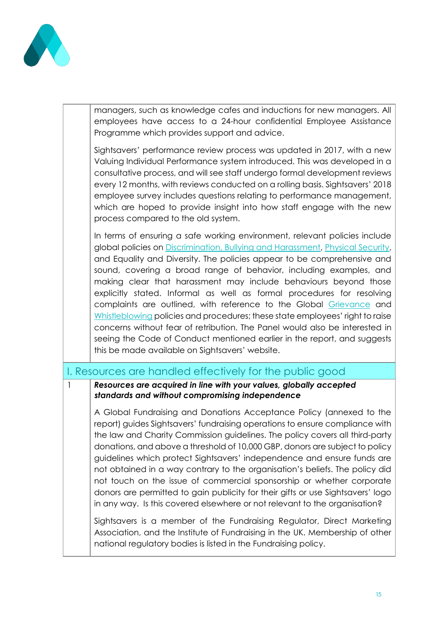

managers, such as knowledge cafes and inductions for new managers. All employees have access to a 24-hour confidential Employee Assistance Programme which provides support and advice.

Sightsavers' performance review process was updated in 2017, with a new Valuing Individual Performance system introduced. This was developed in a consultative process, and will see staff undergo formal development reviews every 12 months, with reviews conducted on a rolling basis. Sightsavers' 2018 employee survey includes questions relating to performance management, which are hoped to provide insight into how staff engage with the new process compared to the old system.

In terms of ensuring a safe working environment, relevant policies include global policies on [Discrimination, Bullying and Harassment,](https://www.sightsavers.org/wp-content/uploads/2018/07/Sightsavers-Global-Discrimination-Bullying-and-Harassment-Policy-and-Procedure-Mar-2017.pdf) [Physical Security,](https://www.sightsavers.org/wp-content/uploads/2018/02/Sightsavers-Global-Physical-Security-Policy-Feb-2017.pdf) and Equality and Diversity. The policies appear to be comprehensive and sound, covering a broad range of behavior, including examples, and making clear that harassment may include behaviours beyond those explicitly stated. Informal as well as formal procedures for resolving complaints are outlined, with reference to the Global [Grievance](https://www.sightsavers.org/wp-content/uploads/2018/07/Sightsavers-Global-Grievance-Policy-Procedure-Jan-2017.pdf) and [Whistleblowing](https://www.sightsavers.org/wp-content/uploads/2018/07/Sightsavers-Global-Whistleblowing-Policy-Procedures-Feb-2018.pdf) policies and procedures; these state employees' right to raise concerns without fear of retribution. The Panel would also be interested in seeing the Code of Conduct mentioned earlier in the report, and suggests this be made available on Sightsavers' website.

### I. Resources are handled effectively for the public good

#### 1 *Resources are acquired in line with your values, globally accepted standards and without compromising independence*

A Global Fundraising and Donations Acceptance Policy (annexed to the report) guides Sightsavers' fundraising operations to ensure compliance with the law and Charity Commission guidelines. The policy covers all third-party donations, and above a threshold of 10,000 GBP, donors are subject to policy guidelines which protect Sightsavers' independence and ensure funds are not obtained in a way contrary to the organisation's beliefs. The policy did not touch on the issue of commercial sponsorship or whether corporate donors are permitted to gain publicity for their gifts or use Sightsavers' logo in any way. Is this covered elsewhere or not relevant to the organisation?

Sightsavers is a member of the Fundraising Regulator, Direct Marketing Association, and the Institute of Fundraising in the UK. Membership of other national regulatory bodies is listed in the Fundraising policy.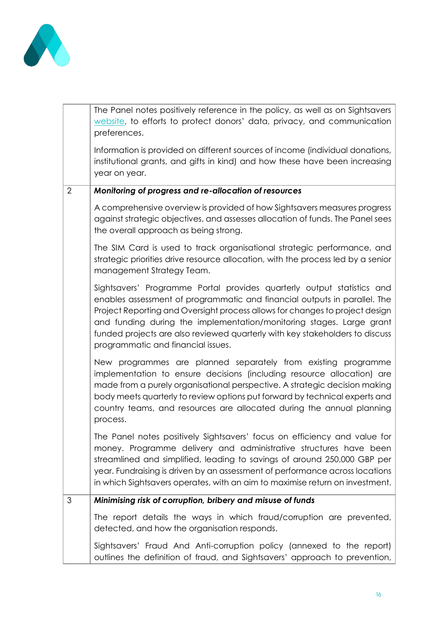

|                | The Panel notes positively reference in the policy, as well as on Sightsavers<br>website, to efforts to protect donors' data, privacy, and communication<br>preferences.                                                                                                                                                                                                                                                          |
|----------------|-----------------------------------------------------------------------------------------------------------------------------------------------------------------------------------------------------------------------------------------------------------------------------------------------------------------------------------------------------------------------------------------------------------------------------------|
|                | Information is provided on different sources of income (individual donations,<br>institutional grants, and gifts in kind) and how these have been increasing<br>year on year.                                                                                                                                                                                                                                                     |
| $\overline{2}$ | Monitoring of progress and re-allocation of resources                                                                                                                                                                                                                                                                                                                                                                             |
|                | A comprehensive overview is provided of how Sightsavers measures progress<br>against strategic objectives, and assesses allocation of funds. The Panel sees<br>the overall approach as being strong.                                                                                                                                                                                                                              |
|                | The SIM Card is used to track organisational strategic performance, and<br>strategic priorities drive resource allocation, with the process led by a senior<br>management Strategy Team.                                                                                                                                                                                                                                          |
|                | Sightsavers' Programme Portal provides quarterly output statistics and<br>enables assessment of programmatic and financial outputs in parallel. The<br>Project Reporting and Oversight process allows for changes to project design<br>and funding during the implementation/monitoring stages. Large grant<br>funded projects are also reviewed quarterly with key stakeholders to discuss<br>programmatic and financial issues. |
|                | New programmes are planned separately from existing programme<br>implementation to ensure decisions (including resource allocation) are<br>made from a purely organisational perspective. A strategic decision making<br>body meets quarterly to review options put forward by technical experts and<br>country teams, and resources are allocated during the annual planning<br>process.                                         |
|                | The Panel notes positively Sightsavers' focus on efficiency and value for<br>money. Programme delivery and administrative structures have been<br>streamlined and simplified, leading to savings of around 250,000 GBP per<br>year. Fundraising is driven by an assessment of performance across locations<br>in which Sightsavers operates, with an aim to maximise return on investment.                                        |
| 3              | Minimising risk of corruption, bribery and misuse of funds                                                                                                                                                                                                                                                                                                                                                                        |
|                | The report details the ways in which fraud/corruption are prevented,<br>detected, and how the organisation responds.                                                                                                                                                                                                                                                                                                              |
|                | Sightsavers' Fraud And Anti-corruption policy (annexed to the report)<br>outlines the definition of fraud, and Sightsavers' approach to prevention,                                                                                                                                                                                                                                                                               |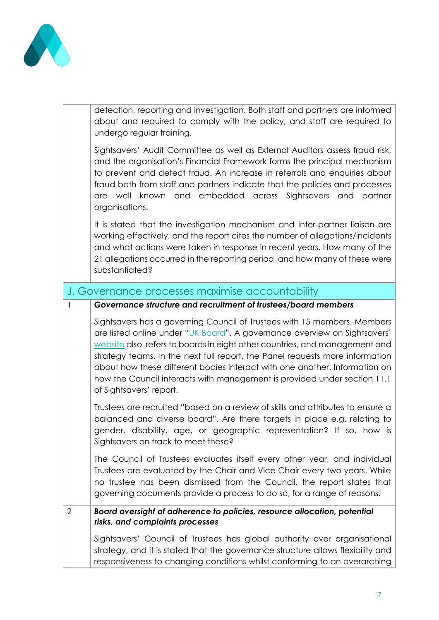

|                | detection, reporting and investigation. Both staff and partners are informed<br>about and required to comply with the policy, and staff are required to<br>undergo regular training.                                                                                                                                                                                                                                                                                                                     |
|----------------|----------------------------------------------------------------------------------------------------------------------------------------------------------------------------------------------------------------------------------------------------------------------------------------------------------------------------------------------------------------------------------------------------------------------------------------------------------------------------------------------------------|
|                | Sightsavers' Audit Committee as well as External Auditors assess fraud risk,<br>and the organisation's Financial Framework forms the principal mechanism<br>to prevent and detect fraud. An increase in referrals and enquiries about<br>fraud both from staff and partners indicate that the policies and processes<br>known and embedded across Sightsavers and partner<br>are well<br>organisations.                                                                                                  |
|                | It is stated that the investigation mechanism and inter-partner liaison are<br>working effectively, and the report cites the number of allegations/incidents<br>and what actions were taken in response in recent years. How many of the<br>21 allegations occurred in the reporting period, and how many of these were<br>substantiated?                                                                                                                                                                |
|                | J. Governance processes maximise accountability                                                                                                                                                                                                                                                                                                                                                                                                                                                          |
| 1              | Governance structure and recruitment of trustees/board members                                                                                                                                                                                                                                                                                                                                                                                                                                           |
|                | Sightsavers has a governing Council of Trustees with 15 members. Members<br>are listed online under "UK Board". A governance overview on Sightsavers'<br>website also refers to boards in eight other countries, and management and<br>strategy teams. In the next full report, the Panel requests more information<br>about how these different bodies interact with one another. Information on<br>how the Council interacts with management is provided under section 11.1<br>of Sightsavers' report. |
|                | Trustees are recruited "based on a review of skills and attributes to ensure a<br>balanced and diverse board". Are there targets in place e.g. relating to<br>gender, disability, age, or geographic representation? If so, how is<br>Sightsavers on track to meet these?                                                                                                                                                                                                                                |
|                | The Council of Trustees evaluates itself every other year, and individual<br>Trustees are evaluated by the Chair and Vice Chair every two years. While<br>no trustee has been dismissed from the Council, the report states that<br>governing documents provide a process to do so, for a range of reasons.                                                                                                                                                                                              |
| $\overline{2}$ | Board oversight of adherence to policies, resource allocation, potential<br>risks, and complaints processes                                                                                                                                                                                                                                                                                                                                                                                              |
|                | Sightsavers' Council of Trustees has global authority over organisational<br>strategy, and it is stated that the governance structure allows flexibility and<br>responsiveness to changing conditions whilst conforming to an overarching                                                                                                                                                                                                                                                                |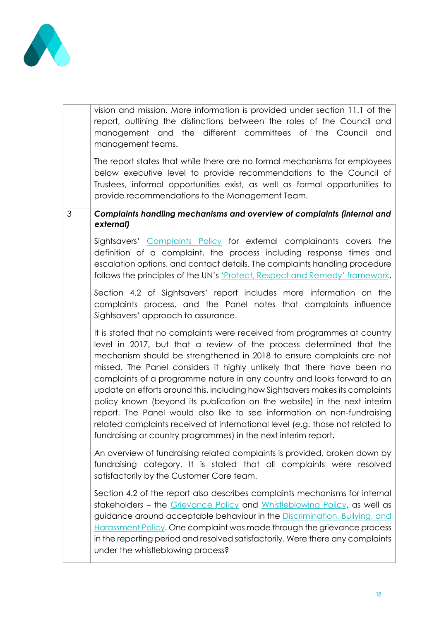

|   | vision and mission. More information is provided under section 11.1 of the<br>report, outlining the distinctions between the roles of the Council and<br>management and the different committees of the Council<br>and<br>management teams.<br>The report states that while there are no formal mechanisms for employees<br>below executive level to provide recommendations to the Council of<br>Trustees, informal opportunities exist, as well as formal opportunities to<br>provide recommendations to the Management Team.                                                                                                                                                                                                                                          |
|---|--------------------------------------------------------------------------------------------------------------------------------------------------------------------------------------------------------------------------------------------------------------------------------------------------------------------------------------------------------------------------------------------------------------------------------------------------------------------------------------------------------------------------------------------------------------------------------------------------------------------------------------------------------------------------------------------------------------------------------------------------------------------------|
| 3 | Complaints handling mechanisms and overview of complaints (internal and<br>external)                                                                                                                                                                                                                                                                                                                                                                                                                                                                                                                                                                                                                                                                                     |
|   | Sightsavers' Complaints Policy for external complainants covers the<br>definition of a complaint, the process including response times and<br>escalation options, and contact details. The complaints handling procedure<br>follows the principles of the UN's 'Protect, Respect and Remedy' framework.                                                                                                                                                                                                                                                                                                                                                                                                                                                                  |
|   | Section 4.2 of Sightsavers' report includes more information on the<br>complaints process, and the Panel notes that complaints influence<br>Sightsavers' approach to assurance.                                                                                                                                                                                                                                                                                                                                                                                                                                                                                                                                                                                          |
|   | It is stated that no complaints were received from programmes at country<br>level in 2017, but that a review of the process determined that the<br>mechanism should be strengthened in 2018 to ensure complaints are not<br>missed. The Panel considers it highly unlikely that there have been no<br>complaints of a programme nature in any country and looks forward to an<br>update on efforts around this, including how Sightsavers makes its complaints<br>policy known (beyond its publication on the website) in the next interim<br>report. The Panel would also like to see information on non-fundraising<br>related complaints received at international level (e.g. those not related to<br>fundraising or country programmes) in the next interim report. |
|   | An overview of fundraising related complaints is provided, broken down by<br>fundraising category. It is stated that all complaints were resolved<br>satisfactorily by the Customer Care team.                                                                                                                                                                                                                                                                                                                                                                                                                                                                                                                                                                           |
|   | Section 4.2 of the report also describes complaints mechanisms for internal<br>stakeholders - the Grievance Policy and Whistleblowing Policy, as well as<br>guidance around acceptable behaviour in the Discrimination, Bullying, and<br>Harassment Policy. One complaint was made through the grievance process<br>in the reporting period and resolved satisfactorily. Were there any complaints<br>under the whistleblowing process?                                                                                                                                                                                                                                                                                                                                  |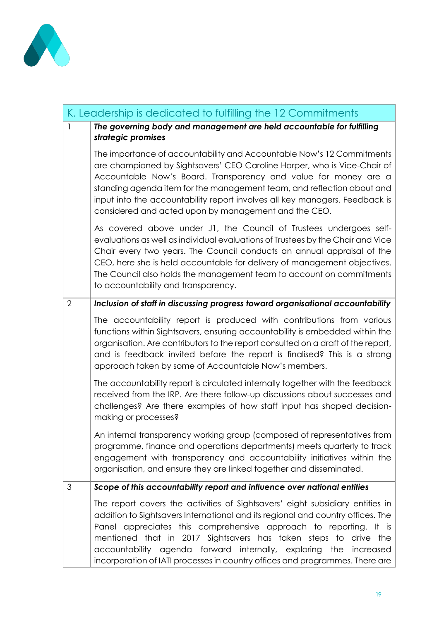

|                | K. Leadership is dedicated to fulfilling the 12 Commitments                                                                                                                                                                                                                                                                                                                                                                                                      |
|----------------|------------------------------------------------------------------------------------------------------------------------------------------------------------------------------------------------------------------------------------------------------------------------------------------------------------------------------------------------------------------------------------------------------------------------------------------------------------------|
| $\mathbf{1}$   | The governing body and management are held accountable for fulfilling<br>strategic promises                                                                                                                                                                                                                                                                                                                                                                      |
|                | The importance of accountability and Accountable Now's 12 Commitments<br>are championed by Sightsavers' CEO Caroline Harper, who is Vice-Chair of<br>Accountable Now's Board. Transparency and value for money are a<br>standing agenda item for the management team, and reflection about and<br>input into the accountability report involves all key managers. Feedback is<br>considered and acted upon by management and the CEO.                            |
|                | As covered above under J1, the Council of Trustees undergoes self-<br>evaluations as well as individual evaluations of Trustees by the Chair and Vice<br>Chair every two years. The Council conducts an annual appraisal of the<br>CEO, here she is held accountable for delivery of management objectives.<br>The Council also holds the management team to account on commitments<br>to accountability and transparency.                                       |
| $\overline{2}$ | Inclusion of staff in discussing progress toward organisational accountability                                                                                                                                                                                                                                                                                                                                                                                   |
|                | The accountability report is produced with contributions from various<br>functions within Sightsavers, ensuring accountability is embedded within the<br>organisation. Are contributors to the report consulted on a draft of the report,<br>and is feedback invited before the report is finalised? This is a strong<br>approach taken by some of Accountable Now's members.                                                                                    |
|                | The accountability report is circulated internally together with the feedback<br>received from the IRP. Are there follow-up discussions about successes and<br>challenges? Are there examples of how staff input has shaped decision-<br>making or processes?                                                                                                                                                                                                    |
|                | An internal transparency working group (composed of representatives from<br>programme, finance and operations departments) meets quarterly to track<br>engagement with transparency and accountability initiatives within the<br>organisation, and ensure they are linked together and disseminated.                                                                                                                                                             |
| 3              | Scope of this accountability report and influence over national entities                                                                                                                                                                                                                                                                                                                                                                                         |
|                | The report covers the activities of Sightsavers' eight subsidiary entities in<br>addition to Sightsavers International and its regional and country offices. The<br>Panel appreciates this comprehensive approach to reporting. It is<br>mentioned that in 2017 Sightsavers has taken steps to drive the<br>accountability agenda forward internally, exploring the<br>increased<br>incorporation of IATI processes in country offices and programmes. There are |